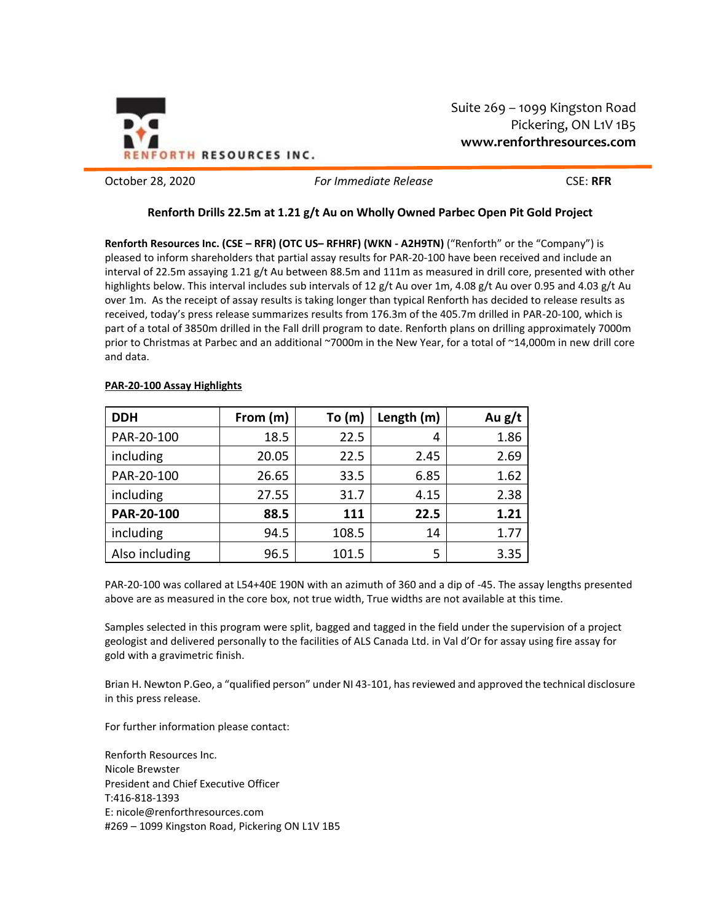

Suite 269 – 1099 Kingston Road Pickering, ON L1V 1B5 **www.renforthresources.com**

October 28, 2020 *For Immediate Release* CSE: **RFR**

# **Renforth Drills 22.5m at 1.21 g/t Au on Wholly Owned Parbec Open Pit Gold Project**

**Renforth Resources Inc. (CSE – RFR) (OTC US– RFHRF) (WKN - A2H9TN)** ("Renforth" or the "Company") is pleased to inform shareholders that partial assay results for PAR-20-100 have been received and include an interval of 22.5m assaying 1.21 g/t Au between 88.5m and 111m as measured in drill core, presented with other highlights below. This interval includes sub intervals of 12 g/t Au over 1m, 4.08 g/t Au over 0.95 and 4.03 g/t Au over 1m. As the receipt of assay results is taking longer than typical Renforth has decided to release results as received, today's press release summarizes results from 176.3m of the 405.7m drilled in PAR-20-100, which is part of a total of 3850m drilled in the Fall drill program to date. Renforth plans on drilling approximately 7000m prior to Christmas at Parbec and an additional ~7000m in the New Year, for a total of ~14,000m in new drill core and data.

| <b>DDH</b>     | From (m) | To (m) | Length (m) | Au $g/t$ |
|----------------|----------|--------|------------|----------|
| PAR-20-100     | 18.5     | 22.5   | 4          | 1.86     |
| including      | 20.05    | 22.5   | 2.45       | 2.69     |
| PAR-20-100     | 26.65    | 33.5   | 6.85       | 1.62     |
| including      | 27.55    | 31.7   | 4.15       | 2.38     |
| PAR-20-100     | 88.5     | 111    | 22.5       | 1.21     |
| including      | 94.5     | 108.5  | 14         | 1.77     |
| Also including | 96.5     | 101.5  | 5          | 3.35     |

# **PAR-20-100 Assay Highlights**

PAR-20-100 was collared at L54+40E 190N with an azimuth of 360 and a dip of -45. The assay lengths presented above are as measured in the core box, not true width, True widths are not available at this time.

Samples selected in this program were split, bagged and tagged in the field under the supervision of a project geologist and delivered personally to the facilities of ALS Canada Ltd. in Val d'Or for assay using fire assay for gold with a gravimetric finish.

Brian H. Newton P.Geo, a "qualified person" under NI 43-101, has reviewed and approved the technical disclosure in this press release.

For further information please contact:

Renforth Resources Inc. Nicole Brewster President and Chief Executive Officer T:416-818-1393 E: nicole@renforthresources.com #269 – 1099 Kingston Road, Pickering ON L1V 1B5